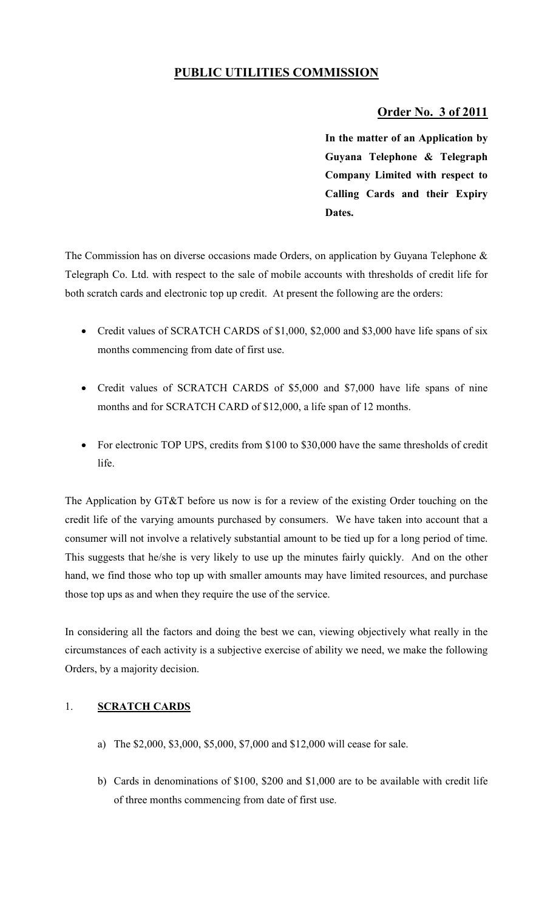## **PUBLIC UTILITIES COMMISSION**

## **Order No. 3 of 2011**

**In the matter of an Application by Guyana Telephone & Telegraph Company Limited with respect to Calling Cards and their Expiry Dates.** 

The Commission has on diverse occasions made Orders, on application by Guyana Telephone & Telegraph Co. Ltd. with respect to the sale of mobile accounts with thresholds of credit life for both scratch cards and electronic top up credit. At present the following are the orders:

- Credit values of SCRATCH CARDS of \$1,000, \$2,000 and \$3,000 have life spans of six months commencing from date of first use.
- Credit values of SCRATCH CARDS of \$5,000 and \$7,000 have life spans of nine months and for SCRATCH CARD of \$12,000, a life span of 12 months.
- For electronic TOP UPS, credits from \$100 to \$30,000 have the same thresholds of credit life.

The Application by GT&T before us now is for a review of the existing Order touching on the credit life of the varying amounts purchased by consumers. We have taken into account that a consumer will not involve a relatively substantial amount to be tied up for a long period of time. This suggests that he/she is very likely to use up the minutes fairly quickly. And on the other hand, we find those who top up with smaller amounts may have limited resources, and purchase those top ups as and when they require the use of the service.

In considering all the factors and doing the best we can, viewing objectively what really in the circumstances of each activity is a subjective exercise of ability we need, we make the following Orders, by a majority decision.

## 1. **SCRATCH CARDS**

- a) The \$2,000, \$3,000, \$5,000, \$7,000 and \$12,000 will cease for sale.
- b) Cards in denominations of \$100, \$200 and \$1,000 are to be available with credit life of three months commencing from date of first use.